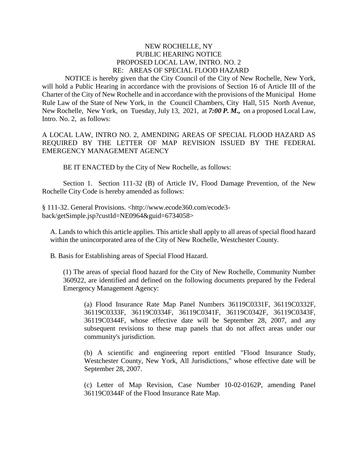## NEW ROCHELLE, NY PUBLIC HEARING NOTICE PROPOSED LOCAL LAW, INTRO. NO. 2 RE: AREAS OF SPECIAL FLOOD HAZARD

NOTICE is hereby given that the City Council of the City of New Rochelle, New York, will hold a Public Hearing in accordance with the provisions of Section 16 of Article III of the Charter of the City of New Rochelle and in accordance with the provisions of the Municipal Home Rule Law of the State of New York, in the Council Chambers, City Hall, 515 North Avenue, New Rochelle, New York, on Tuesday, July 13, 2021, at *7:00 P. M.,* on a proposed Local Law, Intro. No. 2, as follows:

A LOCAL LAW, INTRO NO. 2, AMENDING AREAS OF SPECIAL FLOOD HAZARD AS REQUIRED BY THE LETTER OF MAP REVISION ISSUED BY THE FEDERAL EMERGENCY MANAGEMENT AGENCY

BE IT ENACTED by the City of New Rochelle, as follows:

Section 1. Section 111-32 (B) of Article IV, Flood Damage Prevention, of the New Rochelle City Code is hereby amended as follows:

§ 111-32. General Provisions. <http://www.ecode360.com/ecode3 back/getSimple.jsp?custId=NE0964&guid=6734058>

A. Lands to which this article applies. This article shall apply to all areas of special flood hazard within the unincorporated area of the City of New Rochelle, Westchester County.

B. Basis for Establishing areas of Special Flood Hazard.

(1) The areas of special flood hazard for the City of New Rochelle, Community Number 360922, are identified and defined on the following documents prepared by the Federal Emergency Management Agency:

(a) Flood Insurance Rate Map Panel Numbers 36119C0331F, 36119C0332F, 36119C0333F, 36119C0334F, 36119C0341F, 36119C0342F, 36119C0343F, 36119C0344F, whose effective date will be September 28, 2007, and any subsequent revisions to these map panels that do not affect areas under our community's jurisdiction.

(b) A scientific and engineering report entitled "Flood Insurance Study, Westchester County, New York, All Jurisdictions," whose effective date will be September 28, 2007.

(c) Letter of Map Revision, Case Number 10-02-0162P, amending Panel 36119C0344F of the Flood Insurance Rate Map.